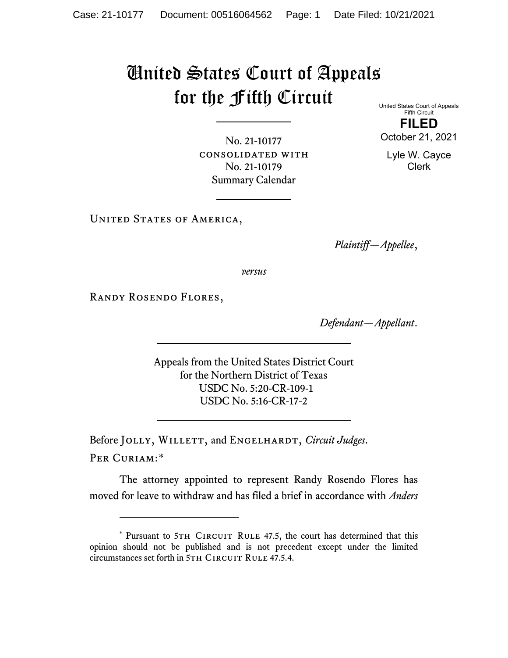## United States Court of Appeals for the Fifth Circuit

United States Court of Appeals Fifth Circuit

No. 21-10177 consolidated with No. 21-10179 Summary Calendar

**FILED**

October 21, 2021

Lyle W. Cayce Clerk

UNITED STATES OF AMERICA,

*Plaintiff—Appellee*,

*versus*

Randy Rosendo Flores,

*Defendant—Appellant*.

Appeals from the United States District Court for the Northern District of Texas USDC No. 5:20-CR-109-1 USDC No. 5:16-CR-17-2

Before JOLLY, WILLETT, and ENGELHARDT, *Circuit Judges*. Per Curiam:[\\*](#page-0-0)

The attorney appointed to represent Randy Rosendo Flores has moved for leave to withdraw and has filed a brief in accordance with *Anders* 

<span id="page-0-0"></span><sup>\*</sup> Pursuant to 5TH CIRCUIT RULE 47.5, the court has determined that this opinion should not be published and is not precedent except under the limited circumstances set forth in 5TH CIRCUIT RULE 47.5.4.